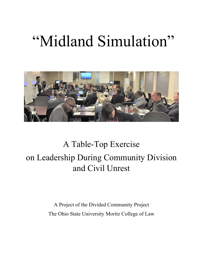# "Midland Simulation"



# A Table-Top Exercise on Leadership During Community Division and Civil Unrest

A Project of the Divided Community Project The Ohio State University Moritz College of Law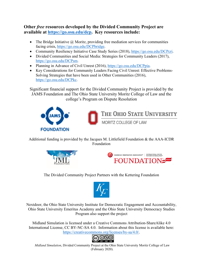**Other** *free* **resources developed by the Divided Community Project are available at https://go.osu.edu/dcp. Key resources include:** 

- The Bridge Initiative  $\omega$  Moritz, providing free mediation services for communities facing crisis, https://go.osu.edu/DCPbridge.
- Community Resiliency Initiative Case Study Series (2018), https://go.osu.edu/DCPcri.
- Divided Communities and Social Media: Strategies for Community Leaders (2017), https://go.osu.edu/DCPsm.
- Planning in Advance of Civil Unrest (2016), https://go.osu.edu/DCPpia.
- Key Considerations for Community Leaders Facing Civil Unrest: Effective Problems-Solving Strategies that have been used in Other Communities (2016), https://go.osu.edu/DCPkc.

Significant financial support for the Divided Community Project is provided by the JAMS Foundation and The Ohio State University Moritz College of Law and the college's Program on Dispute Resolution



Additional funding is provided by the Jacques M. Littlefield Foundation & the AAA-ICDR Foundation





The Divided Community Project Partners with the Kettering Foundation



Nextdoor, the Ohio State University Institute for Democratic Engagement and Accountability, Ohio State University Emeritus Academy and the Ohio State University Democracy Studies Program also support the project

Midland Simulation is licensed under a Creative Commons Attribution-ShareAlike 4.0 International License, CC BY-NC-SA 4.0. Information about this license is available here: https://creativecommons.org/licenses/by-sa/4.0/.



*Midland Simulation*, Divided Community Project at the Ohio State University Moritz College of Law (February 2020).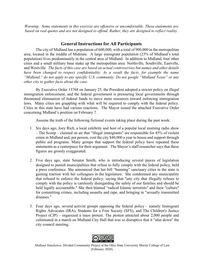*Warning: Some statements in this exercise are offensive or uncomfortable. These statements are based on real quotes and are not designed to offend. Rather, they are designed to reflect reality.*

## **General Instructions for All Participants**

The city of Midland has a population of 600,000, with a total of 900,000 in the metropolitan area, located in the middle of Midstate. A large immigrant population (23% of Midland's total population) lives predominately in the central area of Midland. In addition to Midland, four other cities and a small military base make up the metropolitan area: Northville, Southville, Eastville, and Westville. *The facts of this case are based on actual controversies but names and other details have been changed to respect confidentiality. As a result the facts, for example the name "Midland," do not apply to any specific U.S. community. Do not google "Midland Texas" or any other city to gather facts about the case.* 

By Executive Order 13768 on January 25, the President adopted a stricter policy on illegal immigration enforcement, and the federal government is pressuring local governments through threatened elimination of federal funds to move more resources toward enforcing immigration laws. Many cities are grappling with what will be required to comply with the federal policy. Cities in this state have had various reactions. The Mayor issued the attached Executive Order concerning Midland's position on February 7.

Assume the truth of the following fictional events taking place during the past week:

- 1. Six days ago, Joey Rich, a local celebrity and host of a popular local morning radio show – The Scoop – claimed on air that "illegal immigrants" are responsible for 45% of violent crime in Midland and, per person, cost the city \$40,000 a year to house and support through public aid programs. Many groups that support the federal policy have repeated these statements as a centerpiece for their argument. The Mayor's staff researcher says that these figures are grossly exaggerated.
- 2. Five days ago, state Senator Smith, who is introducing several pieces of legislation designed to punish municipalities that refuse to fully comply with the federal policy, held a press conference. She announced that her bill "banning" sanctuary cities in the state is gaining traction with her colleagues in the legislature. She condemned any municipality that refused to enforce the federal policy, saying that "any city that illegally refuses to comply with the policy is carelessly disregarding the safety of our families and should be held legally accountable." She then blamed "radical Islamic terrorists" and their "culture" for committing crimes, including assaults and rape, and bringing in "sexually transmitted diseases."
- 3. Four days ago, several activist groups opposing the federal policy namely Immigrant Rights Advocates (IRA), Students for a Free Society (SFS), and The Children's Justice Project (CJP) – organized a mass protest. The protest attracted about 2,000 people and culminated in a march on Midland City Hall that was so disruptive that it "shut down" the city council meeting.

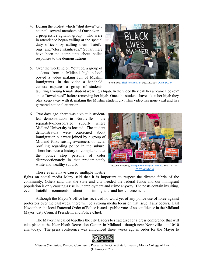- 4. During the protest which "shut down" city council, several members of Outspoken – a progressive agitator group – who were in attendance began yelling at the special duty officers by calling them "hateful pigs" and "closet skinheads." So far, there have been no complaints about police responses to the demonstrations.
- 5. Over the weekend on Youtube, a group of students from a Midland high school posted a video making fun of Muslim immigrants. In the video a handheld camera captures a group of students



Peter Burka, Black lives matter, Dec. 13, 2014, CC BY-SA 2.0

taunting a young female student wearing a hijab. In the video they call her a "camel jockey" and a "towel head" before removing her hijab. Once the students have taken her hijab they play keep-away with it, making the Muslim student cry. This video has gone viral and has garnered national attention.

6. Two days ago, there was a volatile studentled demonstration in Northville - the separately-incorporated suburb where Midland University is located. The student demonstrators were concerned about immigration but were joined by a group of Midland folks raising awareness of racial profiling regarding police in the suburb. There has been a history of complaints that the police stop persons of color disproportionately in that predominately white and wealthy suburb.



Victoria Pickering, Emergency Immigrant Protest, Feb. 11, 2017, CC BY‐NC‐ND 2.0.

These events have caused multiple hostile

fights on social media. Many said that it is important to respect the diverse fabric of the community. Others said that the state and city needed the federal funds and our immigrant population is only causing a rise in unemployment and crime anyway. The posts contain insulting, even hateful comments about immigrants and law enforcement.

Although the Mayor's office has received no word yet of any police use of force against protestors over the past week, there will be a strong media focus on that issue if any occurs. Last November, the local Fraternal Order of Police issued a public vote of no confidence in the Midland Mayor, City Council President, and Police Chief.

 The Mayor has called together the city leaders to strategize for a press conference that will take place at the Near-North Recreation Center, in Midland—though near Northville—at 10:10 am, today. The press conference was announced three weeks ago in order for the Mayor to

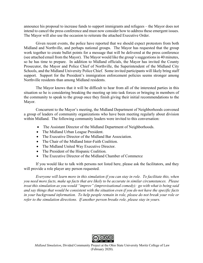announce his proposal to increase funds to support immigrants and refugees – the Mayor does not intend to cancel the press conference and must now consider how to address these emergent issues. The Mayor will also use the occasion to reiterate the attached Executive Order.

Given recent events, the police have reported that we should expect protestors from both Midland and Northville, and perhaps national groups. The Mayor has requested that the group work together to create bullet points for a message that will be delivered at the press conference (see attached email from the Mayor). The Mayor would like the group's suggestions in 40 minutes, so he has time to prepare. In addition to Midland officials, the Mayor has invited the County Prosecutor, the Mayor and Police Chief of Northville, the Superintendent of the Midland City Schools, and the Midland University Police Chief. Some invited participants will likely bring staff support. Support for the President's immigration enforcement policies seems stronger among Northville residents than among Midland residents.

The Mayor knows that it will be difficult to hear from all of the interested parties in this situation so he is considering breaking the meeting up into task forces or bringing in members of the community to speak to the group once they finish giving their initial recommendations to the Mayor.

Concurrent to the Mayor's meeting, the Midland Department of Neighborhoods convened a group of leaders of community organizations who have been meeting regularly about division within Midland. The following community leaders were invited to this conversation:

- The Assistant Director of the Midland Department of Neighborhoods.
- The Midland Urban League President.
- The Executive Director of the Midland Bar Association.
- The Chair of the Midland Inter-Faith Coalition.
- The Midland United Way Executive Director.
- The President of the Hispanic Coalition.
- The Executive Director of the Midland Chamber of Commerce

 If you would like to talk with persons not listed here, please ask the facilitators, and they will provide a role player any person requested.

*Everyone will learn more in this simulation if you can stay in role. To facilitate this, when you need more facts, make up facts that are likely to be accurate in similar circumstances. Please treat this simulation as you would "improv" (improvisational comedy): go with what is being said and say things that would be consistent with the situation even if you do not have the specific facts in your background information. To help people remain in role, please do not break your role or refer to the simulation directions. If another person breaks role, please stay in yours.*

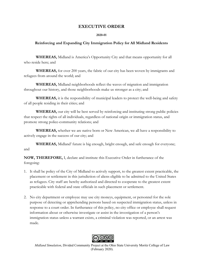## **EXECUTIVE ORDER**

#### **2020-01**

#### **Reinforcing and Expanding City Immigration Policy for All Midland Residents**

**WHEREAS,** Midland is America's Opportunity City and that means opportunity for all who reside here; and

**WHEREAS,** for over 200 years, the fabric of our city has been woven by immigrants and refugees from around the world; and

**WHEREAS,** Midland neighborhoods reflect the waves of migration and immigration throughout our history, and those neighborhoods make us stronger as a city; and

**WHEREAS,** it is the responsibility of municipal leaders to protect the well-being and safety of all people residing in their cities; and

**WHEREAS,** our city will be best served by reinforcing and instituting strong public policies that respect the rights of all individuals, regardless of national origin or immigration status, and promote strong police-community relations; and

**WHEREAS,** whether we are native born or New American, we all have a responsibility to actively engage in the success of our city; and

**WHEREAS,** Midland' future is big enough, bright enough, and safe enough for everyone; and

**NOW, THEREFORE,** I, declare and institute this Executive Order in furtherance of the foregoing:

- 1. It shall be policy of the City of Midland to actively support, to the greatest extent practicable, the placement or settlement in this jurisdiction of aliens eligible to be admitted to the United States as refugees. City staff are hereby authorized and directed to cooperate to the greatest extent practicable with federal and state officials in such placement or settlement.
- 2. No city department or employee may use city moneys, equipment, or personnel for the sole purpose of detecting or apprehending persons based on suspected immigration status, unless in response to a court order. In furtherance of this policy, no city office or employee shall request information about or otherwise investigate or assist in the investigation of a person's immigration status unless a warrant exists, a criminal violation was reported, or an arrest was made.



*Midland Simulation*, Divided Community Project at the Ohio State University Moritz College of Law (February 2020).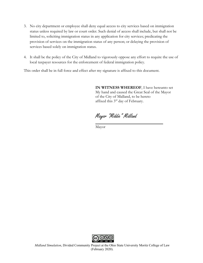- 3. No city department or employee shall deny equal access to city services based on immigration status unless required by law or court order. Such denial of access shall include, but shall not be limited to, soliciting immigration status in any application for city services; predicating the provision of services on the immigration status of any person; or delaying the provision of services based solely on immigration status.
- 4. It shall be the policy of the City of Midland to vigorously oppose any effort to require the use of local taxpayer resources for the enforcement of federal immigration policy.

This order shall be in full force and effect after my signature is affixed to this document.

**IN WITNESS WHEREOF**, I have hereunto set My hand and caused the Great Seal of the Mayor of the City of Midland, to be hereto affixed this 3rd day of February.

Mayor "Middie" Midland

Mayor

 $\mathcal{L}_\text{max}$  and  $\mathcal{L}_\text{max}$  and  $\mathcal{L}_\text{max}$  and  $\mathcal{L}_\text{max}$  and  $\mathcal{L}_\text{max}$ 



*Midland Simulation*, Divided Community Project at the Ohio State University Moritz College of Law (February 2020).